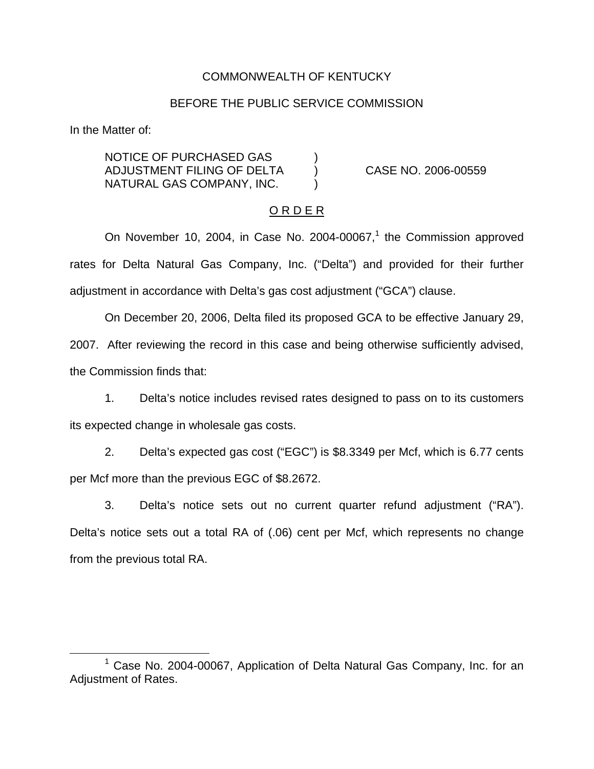## COMMONWEALTH OF KENTUCKY

#### BEFORE THE PUBLIC SERVICE COMMISSION

In the Matter of:

NOTICE OF PURCHASED GAS ) ADJUSTMENT FILING OF DELTA ) CASE NO. 2006-00559 NATURAL GAS COMPANY, INC. )

#### O R D E R

On November 10, 2004, in Case No. 2004-00067, $<sup>1</sup>$  the Commission approved</sup> rates for Delta Natural Gas Company, Inc. ("Delta") and provided for their further adjustment in accordance with Delta's gas cost adjustment ("GCA") clause.

On December 20, 2006, Delta filed its proposed GCA to be effective January 29, 2007. After reviewing the record in this case and being otherwise sufficiently advised, the Commission finds that:

1. Delta's notice includes revised rates designed to pass on to its customers its expected change in wholesale gas costs.

2. Delta's expected gas cost ("EGC") is \$8.3349 per Mcf, which is 6.77 cents per Mcf more than the previous EGC of \$8.2672.

3. Delta's notice sets out no current quarter refund adjustment ("RA"). Delta's notice sets out a total RA of (.06) cent per Mcf, which represents no change from the previous total RA.

<sup>1</sup> Case No. 2004-00067, Application of Delta Natural Gas Company, Inc. for an Adjustment of Rates.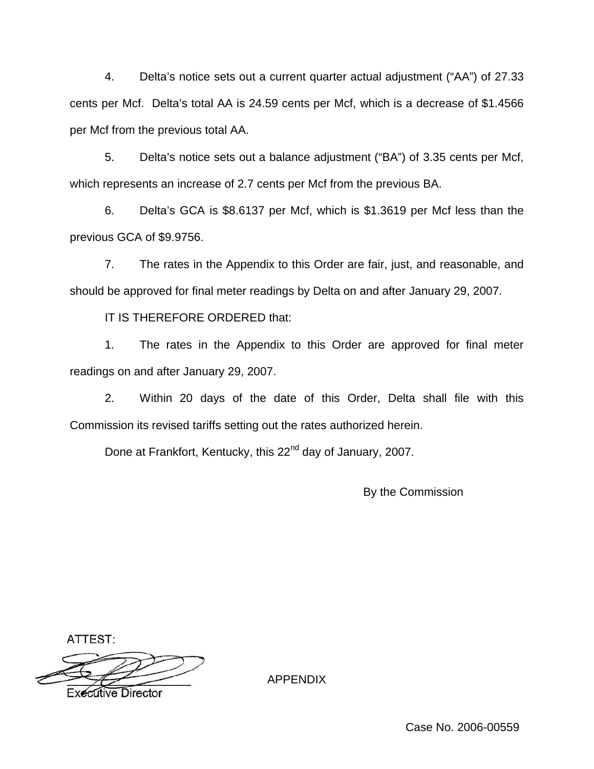4. Delta's notice sets out a current quarter actual adjustment ("AA") of 27.33 cents per Mcf. Delta's total AA is 24.59 cents per Mcf, which is a decrease of \$1.4566 per Mcf from the previous total AA.

5. Delta's notice sets out a balance adjustment ("BA") of 3.35 cents per Mcf, which represents an increase of 2.7 cents per Mcf from the previous BA.

6. Delta's GCA is \$8.6137 per Mcf, which is \$1.3619 per Mcf less than the previous GCA of \$9.9756.

7. The rates in the Appendix to this Order are fair, just, and reasonable, and should be approved for final meter readings by Delta on and after January 29, 2007.

IT IS THEREFORE ORDERED that:

1. The rates in the Appendix to this Order are approved for final meter readings on and after January 29, 2007.

2. Within 20 days of the date of this Order, Delta shall file with this Commission its revised tariffs setting out the rates authorized herein.

Done at Frankfort, Kentucky, this 22<sup>nd</sup> day of January, 2007.

By the Commission

ATTEST:

**Executive Director** 

APPENDIX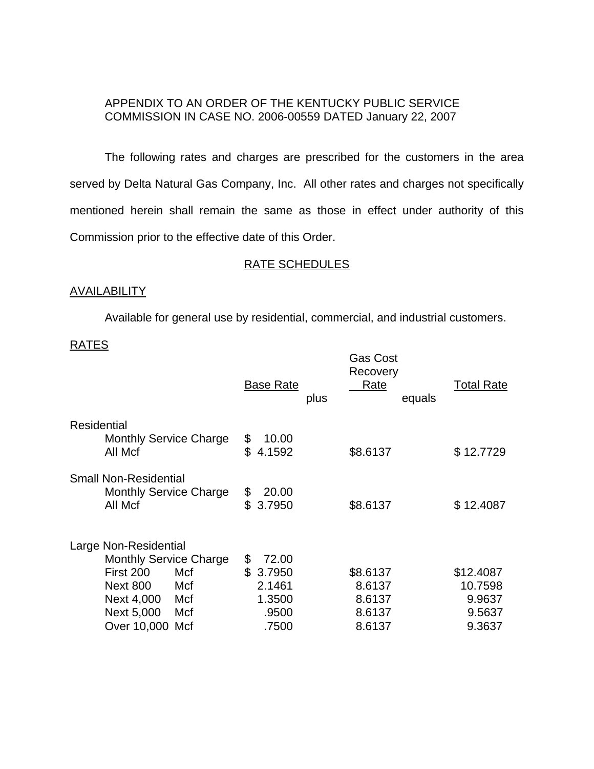# APPENDIX TO AN ORDER OF THE KENTUCKY PUBLIC SERVICE COMMISSION IN CASE NO. 2006-00559 DATED January 22, 2007

The following rates and charges are prescribed for the customers in the area served by Delta Natural Gas Company, Inc. All other rates and charges not specifically mentioned herein shall remain the same as those in effect under authority of this Commission prior to the effective date of this Order.

# RATE SCHEDULES

### **AVAILABILITY**

Available for general use by residential, commercial, and industrial customers.

### RATES

|                                                                                                                                                                   | <b>Base Rate</b><br>plus                                          | <b>Gas Cost</b><br>Recovery<br><b>Rate</b><br>equals | <b>Total Rate</b>                                  |
|-------------------------------------------------------------------------------------------------------------------------------------------------------------------|-------------------------------------------------------------------|------------------------------------------------------|----------------------------------------------------|
| Residential<br><b>Monthly Service Charge</b><br>All Mcf                                                                                                           | \$<br>10.00<br>\$<br>4.1592                                       | \$8.6137                                             | \$12.7729                                          |
| <b>Small Non-Residential</b><br><b>Monthly Service Charge</b><br>All Mcf                                                                                          | 20.00<br>\$<br>\$<br>3.7950                                       | \$8.6137                                             | \$12.4087                                          |
| Large Non-Residential<br><b>Monthly Service Charge</b><br>First 200<br>Mcf<br><b>Next 800</b><br>Mcf<br>Next 4,000<br>Mcf<br>Next 5,000<br>Mcf<br>Over 10,000 Mcf | \$<br>72.00<br>\$<br>3.7950<br>2.1461<br>1.3500<br>.9500<br>.7500 | \$8.6137<br>8.6137<br>8.6137<br>8.6137<br>8.6137     | \$12.4087<br>10.7598<br>9.9637<br>9.5637<br>9.3637 |